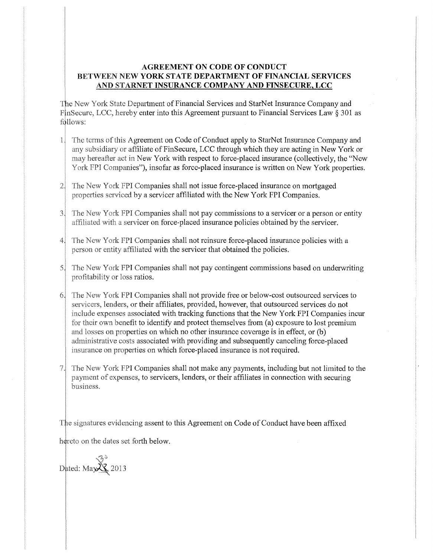## **AGREEMENT ON CODE OF CONDUCT** BETWEEN NEW **YORK STATE DEPARTMENT OF FINANCIAL SERVICES** AND STARNET INSURANCE COMPANY AND FINSECURE, LCC

The New York State Department of Financial Services and StarNet Insurance Company and FinSecure, LCC, hereby enter into this Agreement pursuant to Financial Services Law § 301 as follows:

- The terms of this Agreement on Code of Conduct apply to StarNet Insurance Company and  $\left| \right|$ any subsidiary or affiliate of FinSecure, LCC through which they are acting in New York or may hereafter act in New York with respect to force-placed insurance (collectively, the "New York FPI Companies"), insofar as force-placed insurance is written on New York properties.
- The New York FPI Companies shall not issue force-placed insurance on mortgaged  $2^{1}$ properties serviced by a servicer affiliated with the New York FPI Companies.
- The New York FPI Companies shall not pay commissions to a servicer or a person or entity  $3<sup>1</sup>$ affiliated with a servicer on force-placed insurance policies obtained by the servicer.
- The New York FPI Companies shall not reinsure force-placed insurance policies with a  $4$ person or entity affiliated with the servicer that obtained the policies.
- profitability or loss ratios.  $5$ . The New York FPI Companies shall not pay contingent commissions based on underwriting
- The New York FPI Companies shall not provide free or below-cost outsourced services to servicers, lenders, or their affiliates, provided, however, that outsourced services do not include expenses associated with tracking functions that the New York FPI Companies incur for their own benefit to identify and protect themselves from (a) exposure to lost premium and losses on properties on which no other insurance coverage is in effect, or  $(b)$ administrative costs associated with providing and subsequently canceling force-placed insurance on properties on which force-placed insurance is not required.
- $7.$ The New York FPI Companies shall not make any payments, including but not limited to the payment of expenses, to servicers, lenders, or their affiliates in connection with securing business.

The signatures evidencing assent to this Agreement on Code of Conduct have been affixed hereto on the dates set forth below.

Dated: May  $\overline{\mathcal{L}}$  2013